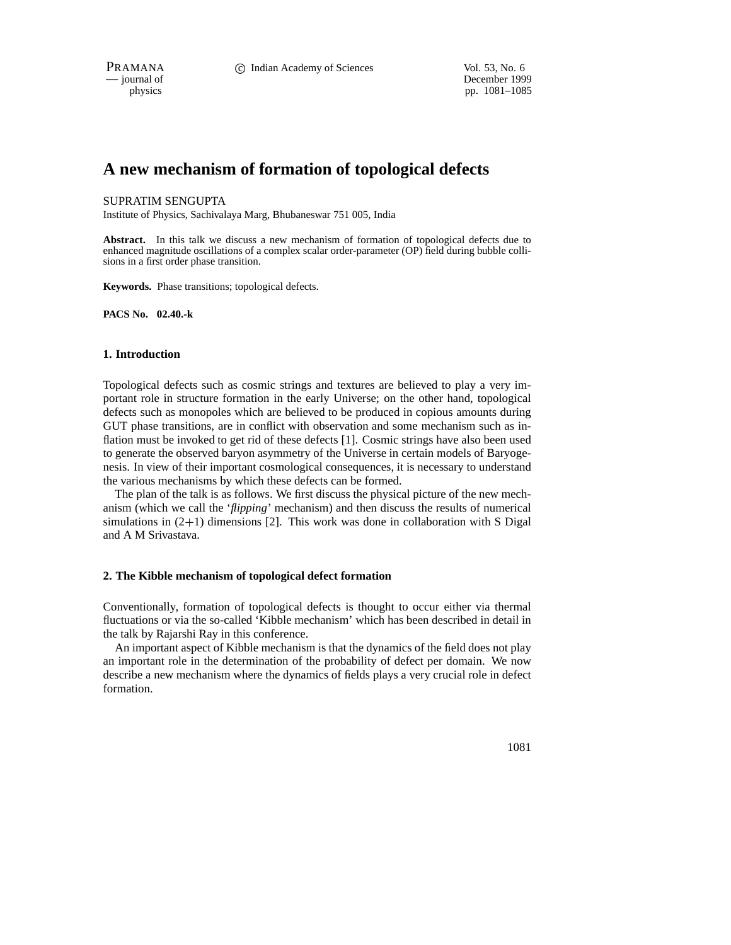PRAMANA **C** Indian Academy of Sciences Vol. 53, No. 6

— journal of December 1999 physics pp. 1081–1085

# **A new mechanism of formation of topological defects**

### SUPRATIM SENGUPTA

Institute of Physics, Sachivalaya Marg, Bhubaneswar 751 005, India

**Abstract.** In this talk we discuss a new mechanism of formation of topological defects due to enhanced magnitude oscillations of a complex scalar order-parameter (OP) field during bubble collisions in a first order phase transition.

**Keywords.** Phase transitions; topological defects.

**PACS No. 02.40.-k**

#### **1. Introduction**

Topological defects such as cosmic strings and textures are believed to play a very important role in structure formation in the early Universe; on the other hand, topological defects such as monopoles which are believed to be produced in copious amounts during GUT phase transitions, are in conflict with observation and some mechanism such as inflation must be invoked to get rid of these defects [1]. Cosmic strings have also been used to generate the observed baryon asymmetry of the Universe in certain models of Baryogenesis. In view of their important cosmological consequences, it is necessary to understand the various mechanisms by which these defects can be formed.

The plan of the talk is as follows. We first discuss the physical picture of the new mechanism (which we call the '*flipping*' mechanism) and then discuss the results of numerical simulations in  $(2+1)$  dimensions [2]. This work was done in collaboration with S Digal and A M Srivastava.

## **2. The Kibble mechanism of topological defect formation**

Conventionally, formation of topological defects is thought to occur either via thermal fluctuations or via the so-called 'Kibble mechanism' which has been described in detail in the talk by Rajarshi Ray in this conference.

An important aspect of Kibble mechanism is that the dynamics of the field does not play an important role in the determination of the probability of defect per domain. We now describe a new mechanism where the dynamics of fields plays a very crucial role in defect formation.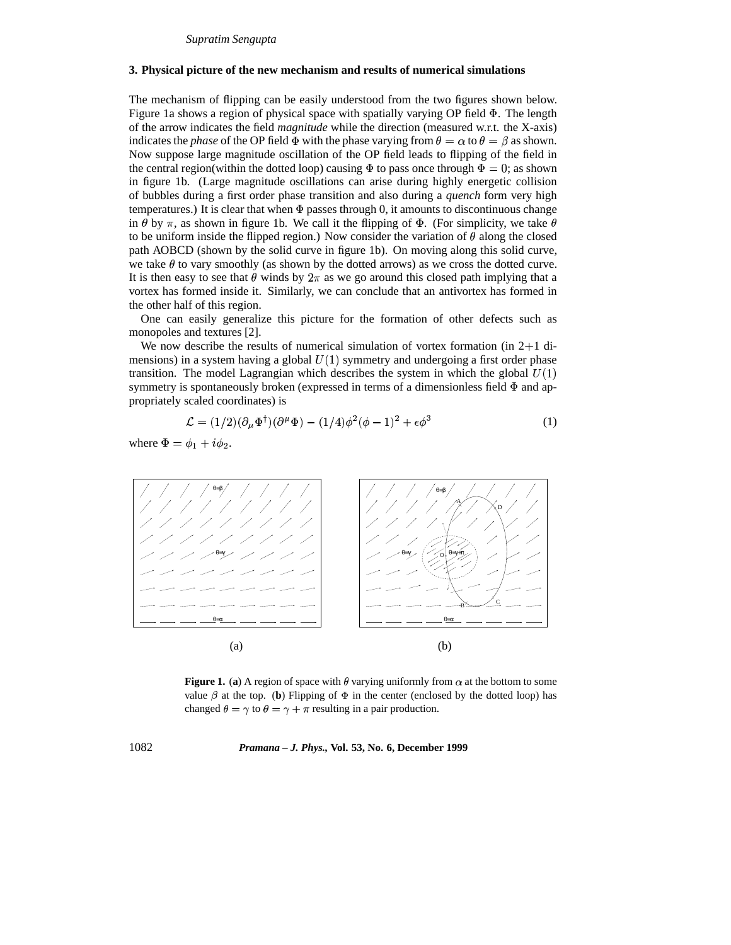#### **3. Physical picture of the new mechanism and results of numerical simulations**

The mechanism of flipping can be easily understood from the two figures shown below. Figure 1a shows a region of physical space with spatially varying OP field  $\Phi$ . The length of the arrow indicates the field *magnitude* while the direction (measured w.r.t. the X-axis) indicates the *phase* of the OP field  $\Phi$  with the phase varying from  $\theta = \alpha$  to  $\theta = \beta$  as shown. Now suppose large magnitude oscillation of the OP field leads to flipping of the field in the central region(within the dotted loop) causing  $\Phi$  to pass once through  $\Phi = 0$ ; as shown in figure 1b. (Large magnitude oscillations can arise during highly energetic collision of bubbles during a first order phase transition and also during a *quench* form very high temperatures.) It is clear that when  $\Phi$  passes through 0, it amounts to discontinuous change in  $\theta$  by  $\pi$ , as shown in figure 1b. We call it the flipping of  $\Phi$ . (For simplicity, we take  $\theta$ to be uniform inside the flipped region.) Now consider the variation of  $\theta$  along the closed path AOBCD (shown by the solid curve in figure 1b). On moving along this solid curve, we take  $\theta$  to vary smoothly (as shown by the dotted arrows) as we cross the dotted curve. It is then easy to see that  $\theta$  winds by  $2\pi$  as we go around this closed path implying that a vortex has formed inside it. Similarly, we can conclude that an antivortex has formed in the other half of this region.

One can easily generalize this picture for the formation of other defects such as monopoles and textures [2].

We now describe the results of numerical simulation of vortex formation (in  $2+1$  dimensions) in a system having a global  $U(1)$  symmetry and undergoing a first order phase transition. The model Lagrangian which describes the system in which the global  $U(1)$ symmetry is spontaneously broken (expressed in terms of a dimensionless field  $\Phi$  and appropriately scaled coordinates) is

$$
\mathcal{L} = (1/2)(\partial_{\mu} \Phi^{\dagger})(\partial^{\mu} \Phi) - (1/4)\phi^2(\phi - 1)^2 + \epsilon \phi^3 \tag{1}
$$

where  $\Phi = \phi_1 + i\phi_2$ .



**Figure 1.** (a) A region of space with  $\theta$  varying uniformly from  $\alpha$  at the bottom to some value  $\beta$  at the top. (**b**) Flipping of  $\Phi$  in the center (enclosed by the dotted loop) has changed  $\theta = \gamma$  to  $\theta = \gamma + \pi$  resulting in a pair production.

1082 *Pramana – J. Phys.,* **Vol. 53, No. 6, December 1999**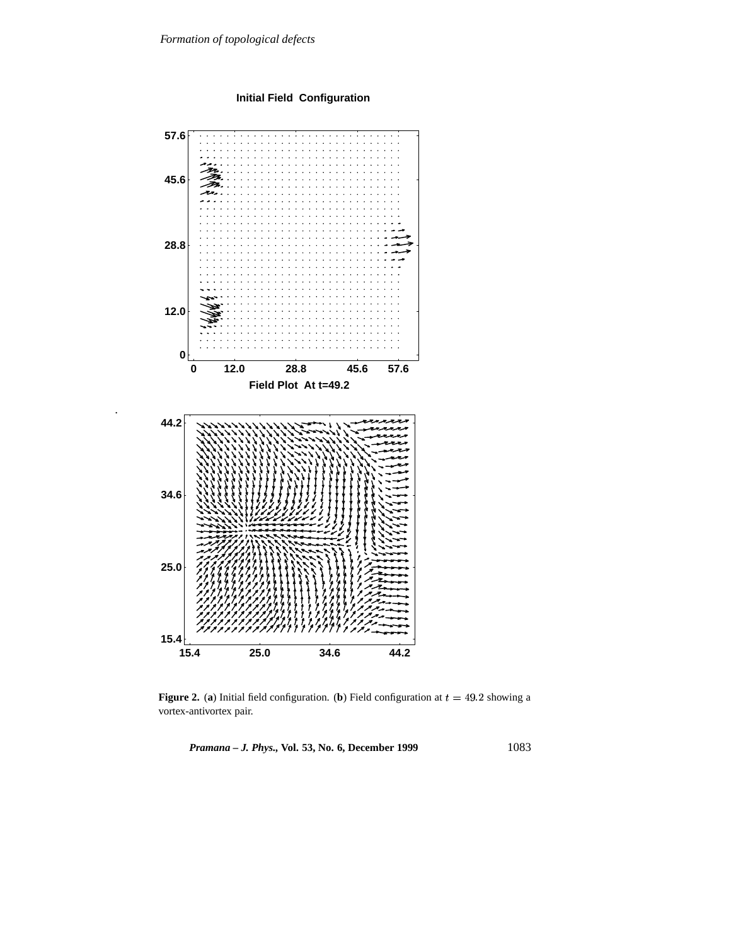**Initial Field Configuration**



.

**Figure 2.** (a) Initial field configuration. (b) Field configuration at  $t = 49.2$  showing a vortex-antivortex pair.

*Pramana – J. Phys.,* **Vol. 53, No. 6, December 1999** 1083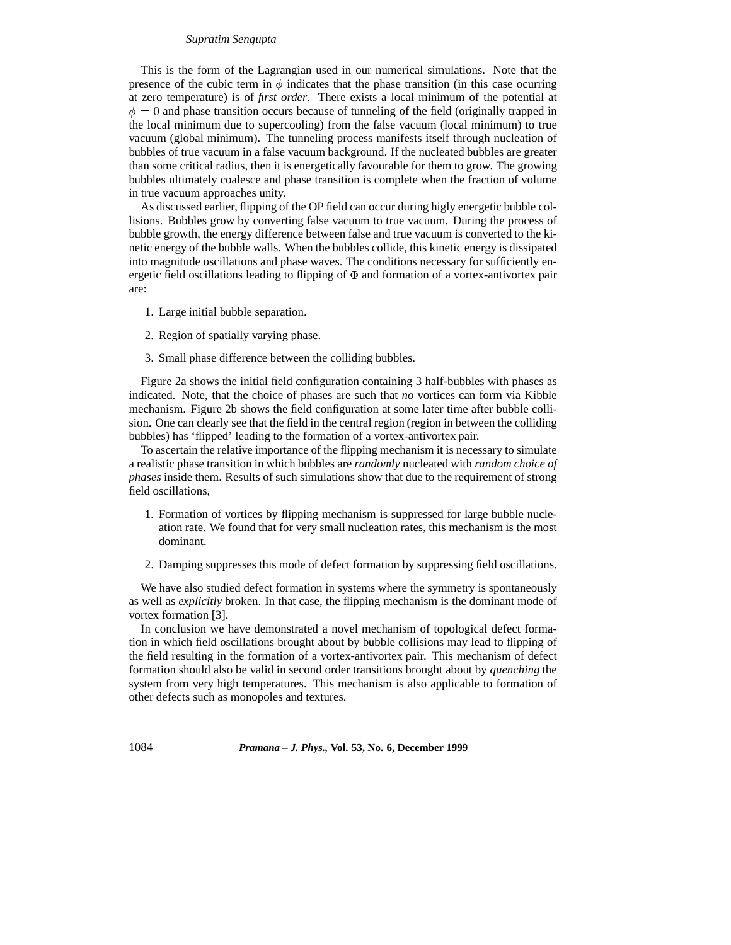#### *Supratim Sengupta*

This is the form of the Lagrangian used in our numerical simulations. Note that the presence of the cubic term in  $\phi$  indicates that the phase transition (in this case ocurring at zero temperature) is of *first order*. There exists a local minimum of the potential at  $\phi = 0$  and phase transition occurs because of tunneling of the field (originally trapped in the local minimum due to supercooling) from the false vacuum (local minimum) to true vacuum (global minimum). The tunneling process manifests itself through nucleation of bubbles of true vacuum in a false vacuum background. If the nucleated bubbles are greater than some critical radius, then it is energetically favourable for them to grow. The growing bubbles ultimately coalesce and phase transition is complete when the fraction of volume in true vacuum approaches unity.

As discussed earlier, flipping of the OP field can occur during higly energetic bubble collisions. Bubbles grow by converting false vacuum to true vacuum. During the process of bubble growth, the energy difference between false and true vacuum is converted to the kinetic energy of the bubble walls. When the bubbles collide, this kinetic energy is dissipated into magnitude oscillations and phase waves. The conditions necessary for sufficiently energetic field oscillations leading to flipping of  $\Phi$  and formation of a vortex-antivortex pair are:

- 1. Large initial bubble separation.
- 2. Region of spatially varying phase.
- 3. Small phase difference between the colliding bubbles.

Figure 2a shows the initial field configuration containing 3 half-bubbles with phases as indicated. Note, that the choice of phases are such that *no* vortices can form via Kibble mechanism. Figure 2b shows the field configuration at some later time after bubble collision. One can clearly see that the field in the central region (region in between the colliding bubbles) has 'flipped' leading to the formation of a vortex-antivortex pair.

To ascertain the relative importance of the flipping mechanism it is necessary to simulate a realistic phase transition in which bubbles are *randomly* nucleated with *random choice of phases* inside them. Results of such simulations show that due to the requirement of strong field oscillations,

- 1. Formation of vortices by flipping mechanism is suppressed for large bubble nucleation rate. We found that for very small nucleation rates, this mechanism is the most dominant.
- 2. Damping suppresses this mode of defect formation by suppressing field oscillations.

We have also studied defect formation in systems where the symmetry is spontaneously as well as *explicitly* broken. In that case, the flipping mechanism is the dominant mode of vortex formation [3].

In conclusion we have demonstrated a novel mechanism of topological defect formation in which field oscillations brought about by bubble collisions may lead to flipping of the field resulting in the formation of a vortex-antivortex pair. This mechanism of defect formation should also be valid in second order transitions brought about by *quenching* the system from very high temperatures. This mechanism is also applicable to formation of other defects such as monopoles and textures.

1084 *Pramana – J. Phys.,* **Vol. 53, No. 6, December 1999**